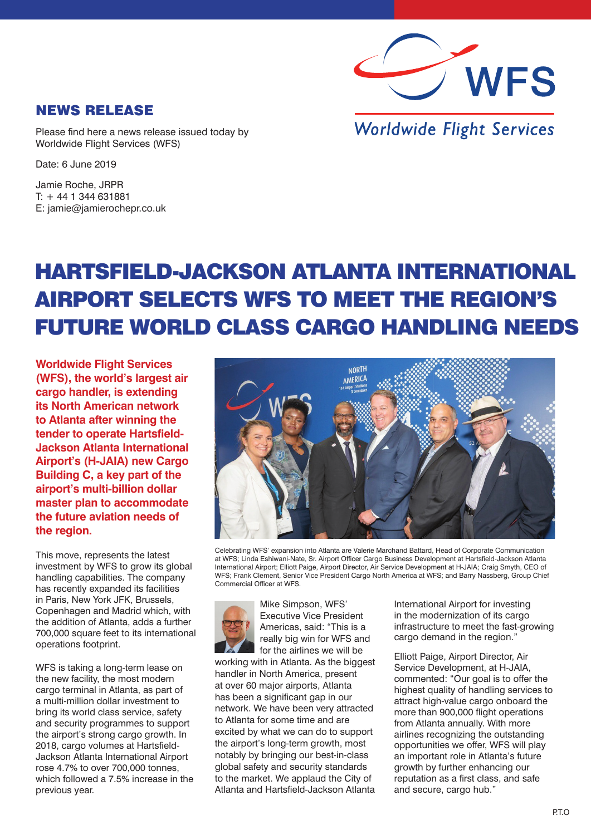

## NEWS RELEASE

Please find here a news release issued today by Worldwide Flight Services (WFS)

Date: 6 June 2019

Jamie Roche, JRPR T: + 44 1 344 631881 E: jamie@jamierochepr.co.uk

## **Worldwide Flight Services**

## Hartsfield-Jackson Atlanta International Airport selects WFS to meet the region's future world class cargo handling needs

**Worldwide Flight Services (WFS), the world's largest air cargo handler, is extending its North American network to Atlanta after winning the tender to operate Hartsfield-Jackson Atlanta International Airport's (H-JAIA) new Cargo Building C, a key part of the airport's multi-billion dollar master plan to accommodate the future aviation needs of the region.**

This move, represents the latest investment by WFS to grow its global handling capabilities. The company has recently expanded its facilities in Paris, New York JFK, Brussels, Copenhagen and Madrid which, with the addition of Atlanta, adds a further 700,000 square feet to its international operations footprint.

WFS is taking a long-term lease on the new facility, the most modern cargo terminal in Atlanta, as part of a multi-million dollar investment to bring its world class service, safety and security programmes to support the airport's strong cargo growth. In 2018, cargo volumes at Hartsfield-Jackson Atlanta International Airport rose 4.7% to over 700,000 tonnes, which followed a 7.5% increase in the previous year.



Celebrating WFS' expansion into Atlanta are Valerie Marchand Battard, Head of Corporate Communication at WFS; Linda Eshiwani-Nate, Sr. Airport Officer Cargo Business Development at Hartsfield-Jackson Atlanta International Airport; Elliott Paige, Airport Director, Air Service Development at H-JAIA; Craig Smyth, CEO of WFS; Frank Clement, Senior Vice President Cargo North America at WFS; and Barry Nassberg, Group Chief Commercial Officer at WFS.



Mike Simpson, WFS' Executive Vice President Americas, said: "This is a really big win for WFS and for the airlines we will be

working with in Atlanta. As the biggest handler in North America, present at over 60 major airports, Atlanta has been a significant gap in our network. We have been very attracted to Atlanta for some time and are excited by what we can do to support the airport's long-term growth, most notably by bringing our best-in-class global safety and security standards to the market. We applaud the City of Atlanta and Hartsfield-Jackson Atlanta

International Airport for investing in the modernization of its cargo infrastructure to meet the fast-growing cargo demand in the region."

Elliott Paige, Airport Director, Air Service Development, at H-JAIA, commented: "Our goal is to offer the highest quality of handling services to attract high-value cargo onboard the more than 900,000 flight operations from Atlanta annually. With more airlines recognizing the outstanding opportunities we offer, WFS will play an important role in Atlanta's future growth by further enhancing our reputation as a first class, and safe and secure, cargo hub."